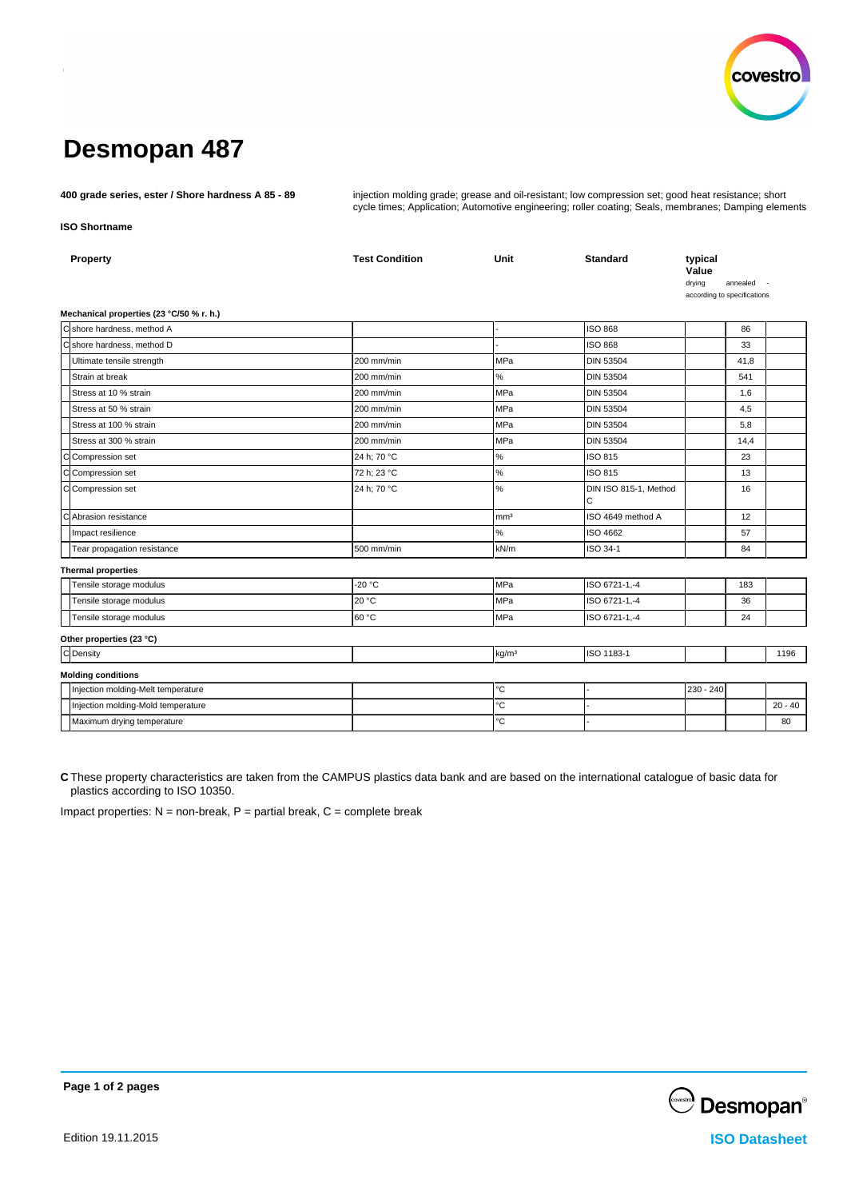

# **Desmopan 487**

**400 grade series, ester / Shore hardness A 85 - 89** injection molding grade; grease and oil-resistant; low compression set; good heat resistance; short cycle times; Application; Automotive engineering; roller coating; Seals, membranes; Damping elements

### **ISO Shortname**

|                           | Property                                 | <b>Test Condition</b> | Unit              | <b>Standard</b>            | typical<br>Value<br>drying<br>according to specifications | annealed - |           |  |
|---------------------------|------------------------------------------|-----------------------|-------------------|----------------------------|-----------------------------------------------------------|------------|-----------|--|
|                           | Mechanical properties (23 °C/50 % r. h.) |                       |                   |                            |                                                           |            |           |  |
|                           | C shore hardness, method A               |                       |                   | <b>ISO 868</b>             |                                                           | 86         |           |  |
|                           | Cshore hardness, method D                |                       |                   | <b>ISO 868</b>             |                                                           | 33         |           |  |
|                           | Ultimate tensile strength                | 200 mm/min            | MPa               | <b>DIN 53504</b>           |                                                           | 41,8       |           |  |
|                           | Strain at break                          | 200 mm/min            | $\%$              | <b>DIN 53504</b>           |                                                           | 541        |           |  |
|                           | Stress at 10 % strain                    | 200 mm/min            | <b>MPa</b>        | <b>DIN 53504</b>           |                                                           | 1,6        |           |  |
|                           | Stress at 50 % strain                    | 200 mm/min            | MPa               | <b>DIN 53504</b>           |                                                           | 4,5        |           |  |
|                           | Stress at 100 % strain                   | 200 mm/min            | <b>MPa</b>        | <b>DIN 53504</b>           |                                                           | 5,8        |           |  |
|                           | Stress at 300 % strain                   | 200 mm/min            | MPa               | <b>DIN 53504</b>           |                                                           | 14,4       |           |  |
|                           | C Compression set                        | 24 h; 70 °C           | $\%$              | ISO 815                    |                                                           | 23         |           |  |
|                           | C Compression set                        | 72 h; 23 °C           | $\%$              | ISO 815                    |                                                           | 13         |           |  |
|                           | C Compression set                        | 24 h; 70 °C           | $\%$              | DIN ISO 815-1, Method<br>C |                                                           | 16         |           |  |
|                           | C Abrasion resistance                    |                       | mm <sup>3</sup>   | ISO 4649 method A          |                                                           | 12         |           |  |
|                           | Impact resilience                        |                       | %                 | ISO 4662                   |                                                           | 57         |           |  |
|                           | Tear propagation resistance              | 500 mm/min            | kN/m              | ISO 34-1                   |                                                           | 84         |           |  |
| <b>Thermal properties</b> |                                          |                       |                   |                            |                                                           |            |           |  |
|                           | Tensile storage modulus                  | $-20 °C$              | <b>MPa</b>        | ISO 6721-1,-4              |                                                           | 183        |           |  |
|                           | Tensile storage modulus                  | 20 °C                 | MPa               | ISO 6721-1,-4              |                                                           | 36         |           |  |
|                           | Tensile storage modulus                  | 60 °C                 | MPa               | ISO 6721-1,-4              |                                                           | 24         |           |  |
|                           | Other properties (23 °C)                 |                       |                   |                            |                                                           |            |           |  |
|                           | C Density                                |                       | kg/m <sup>3</sup> | ISO 1183-1                 |                                                           |            | 1196      |  |
|                           | <b>Molding conditions</b>                |                       |                   |                            |                                                           |            |           |  |
|                           | Injection molding-Melt temperature       |                       | °C                |                            | 230 - 240                                                 |            |           |  |
|                           | Injection molding-Mold temperature       |                       | °C                |                            |                                                           |            | $20 - 40$ |  |
|                           | Maximum drying temperature               |                       | °C                |                            |                                                           |            | 80        |  |
|                           |                                          |                       |                   |                            |                                                           |            |           |  |

**C** These property characteristics are taken from the CAMPUS plastics data bank and are based on the international catalogue of basic data for plastics according to ISO 10350.

Impact properties:  $N =$  non-break,  $P =$  partial break,  $C =$  complete break